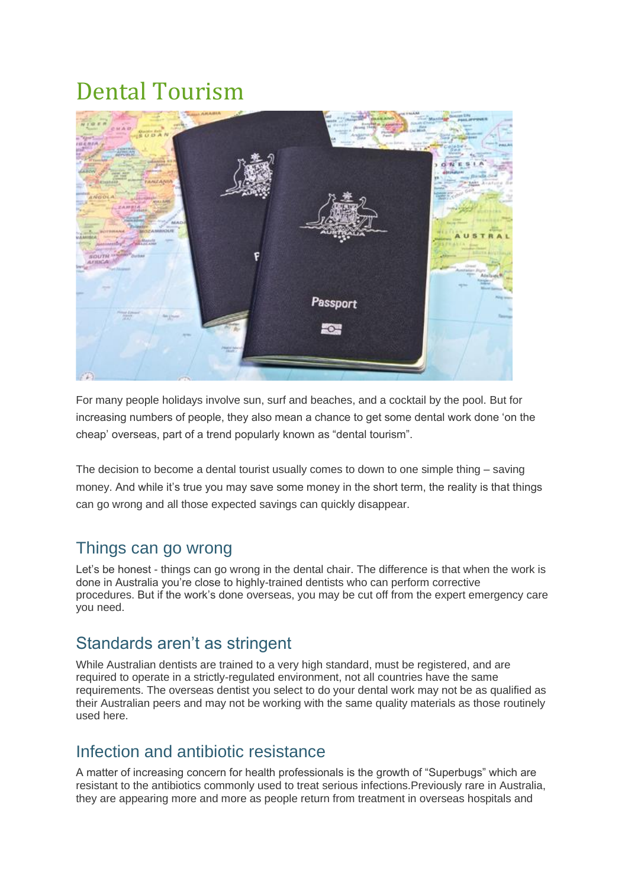# Dental Tourism



For many people holidays involve sun, surf and beaches, and a cocktail by the pool. But for increasing numbers of people, they also mean a chance to get some dental work done 'on the cheap' overseas, part of a trend popularly known as "dental tourism".

The decision to become a dental tourist usually comes to down to one simple thing – saving money. And while it's true you may save some money in the short term, the reality is that things can go wrong and all those expected savings can quickly disappear.

### Things can go wrong

Let's be honest - things can go wrong in the dental chair. The difference is that when the work is done in Australia you're close to highly-trained dentists who can perform corrective procedures. But if the work's done overseas, you may be cut off from the expert emergency care you need.

## Standards aren't as stringent

While Australian dentists are trained to a very high standard, must be registered, and are required to operate in a strictly-regulated environment, not all countries have the same requirements. The overseas dentist you select to do your dental work may not be as qualified as their Australian peers and may not be working with the same quality materials as those routinely used here.

### Infection and antibiotic resistance

A matter of increasing concern for health professionals is the growth of "Superbugs" which are resistant to the antibiotics commonly used to treat serious infections.Previously rare in Australia, they are appearing more and more as people return from treatment in overseas hospitals and